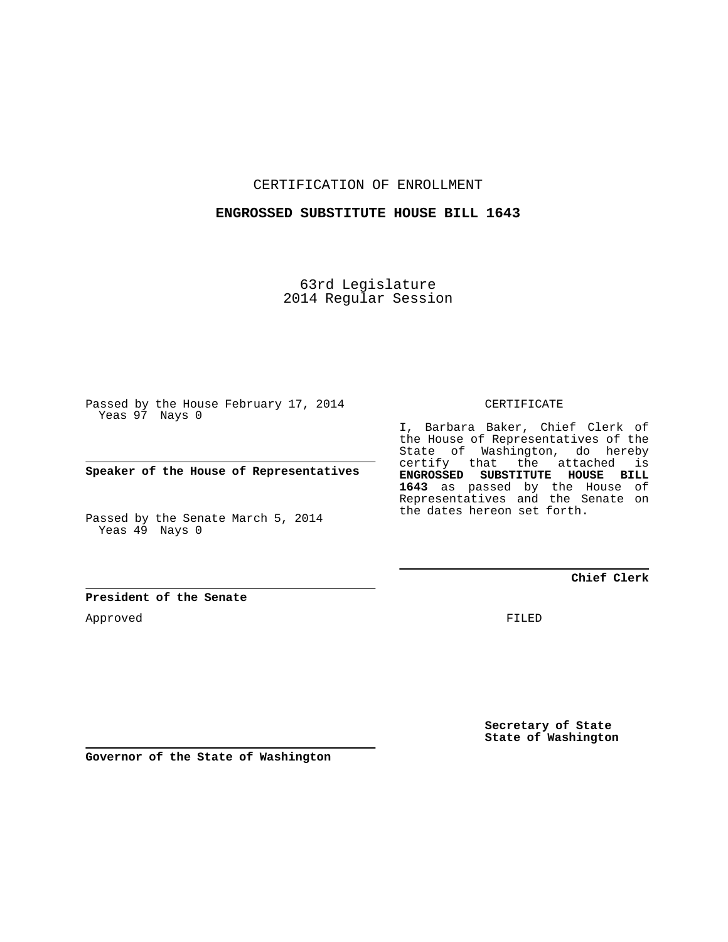CERTIFICATION OF ENROLLMENT

## **ENGROSSED SUBSTITUTE HOUSE BILL 1643**

63rd Legislature 2014 Regular Session

Passed by the House February 17, 2014 Yeas 97 Nays 0

**Speaker of the House of Representatives**

Passed by the Senate March 5, 2014 Yeas 49 Nays 0

CERTIFICATE

I, Barbara Baker, Chief Clerk of the House of Representatives of the State of Washington, do hereby certify that the attached is **ENGROSSED SUBSTITUTE HOUSE BILL 1643** as passed by the House of Representatives and the Senate on the dates hereon set forth.

**Chief Clerk**

**President of the Senate**

Approved

FILED

**Secretary of State State of Washington**

**Governor of the State of Washington**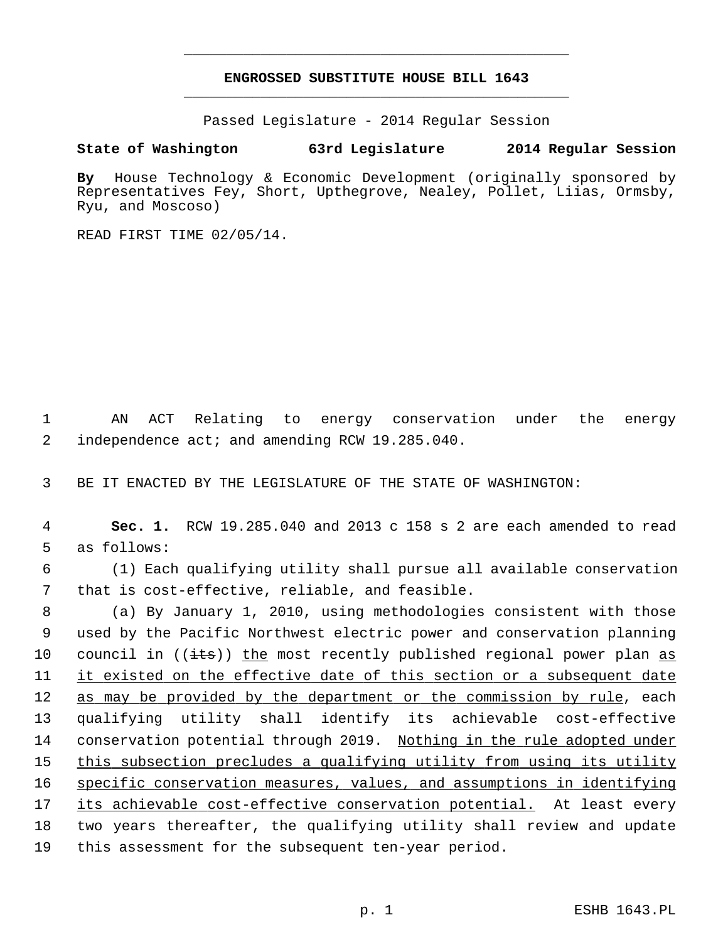## **ENGROSSED SUBSTITUTE HOUSE BILL 1643** \_\_\_\_\_\_\_\_\_\_\_\_\_\_\_\_\_\_\_\_\_\_\_\_\_\_\_\_\_\_\_\_\_\_\_\_\_\_\_\_\_\_\_\_\_

\_\_\_\_\_\_\_\_\_\_\_\_\_\_\_\_\_\_\_\_\_\_\_\_\_\_\_\_\_\_\_\_\_\_\_\_\_\_\_\_\_\_\_\_\_

Passed Legislature - 2014 Regular Session

## **State of Washington 63rd Legislature 2014 Regular Session**

**By** House Technology & Economic Development (originally sponsored by Representatives Fey, Short, Upthegrove, Nealey, Pollet, Liias, Ormsby, Ryu, and Moscoso)

READ FIRST TIME 02/05/14.

 1 AN ACT Relating to energy conservation under the energy 2 independence act; and amending RCW 19.285.040.

3 BE IT ENACTED BY THE LEGISLATURE OF THE STATE OF WASHINGTON:

 4 **Sec. 1.** RCW 19.285.040 and 2013 c 158 s 2 are each amended to read 5 as follows:

 6 (1) Each qualifying utility shall pursue all available conservation 7 that is cost-effective, reliable, and feasible.

 8 (a) By January 1, 2010, using methodologies consistent with those 9 used by the Pacific Northwest electric power and conservation planning 10 council in  $(\pm s)$  the most recently published regional power plan as 11 it existed on the effective date of this section or a subsequent date 12 as may be provided by the department or the commission by rule, each 13 qualifying utility shall identify its achievable cost-effective 14 conservation potential through 2019. Nothing in the rule adopted under 15 this subsection precludes a qualifying utility from using its utility 16 specific conservation measures, values, and assumptions in identifying 17 its achievable cost-effective conservation potential. At least every 18 two years thereafter, the qualifying utility shall review and update 19 this assessment for the subsequent ten-year period.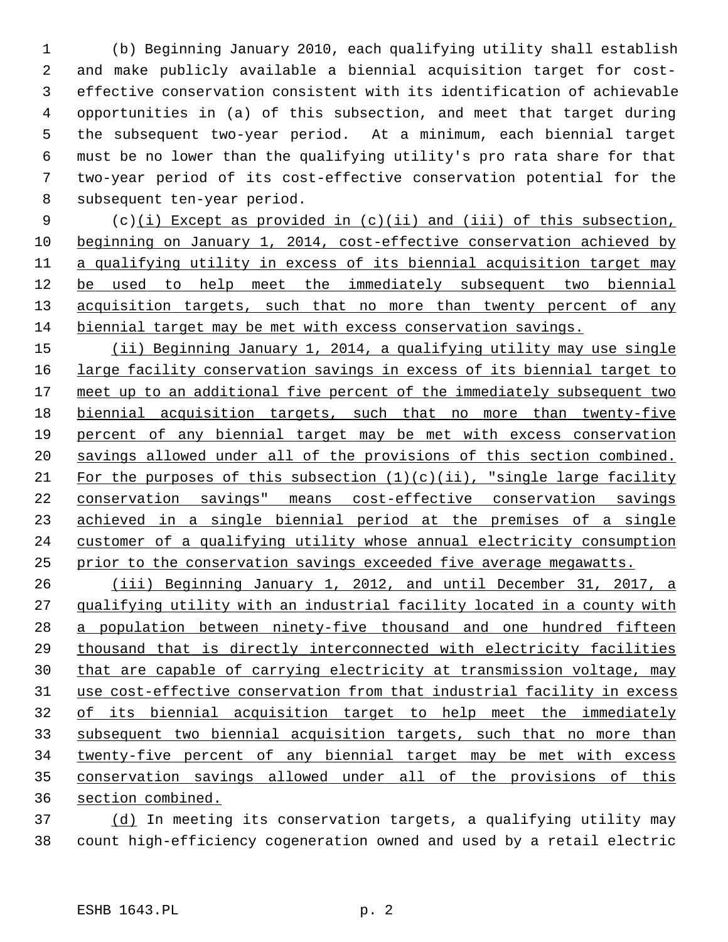1 (b) Beginning January 2010, each qualifying utility shall establish 2 and make publicly available a biennial acquisition target for cost- 3 effective conservation consistent with its identification of achievable 4 opportunities in (a) of this subsection, and meet that target during 5 the subsequent two-year period. At a minimum, each biennial target 6 must be no lower than the qualifying utility's pro rata share for that 7 two-year period of its cost-effective conservation potential for the 8 subsequent ten-year period.

 9 (c)(i) Except as provided in (c)(ii) and (iii) of this subsection, beginning on January 1, 2014, cost-effective conservation achieved by a qualifying utility in excess of its biennial acquisition target may be used to help meet the immediately subsequent two biennial acquisition targets, such that no more than twenty percent of any biennial target may be met with excess conservation savings.

 (ii) Beginning January 1, 2014, a qualifying utility may use single large facility conservation savings in excess of its biennial target to meet up to an additional five percent of the immediately subsequent two biennial acquisition targets, such that no more than twenty-five percent of any biennial target may be met with excess conservation savings allowed under all of the provisions of this section combined. 21 For the purposes of this subsection  $(1)(c)(ii)$ , "single large facility conservation savings" means cost-effective conservation savings achieved in a single biennial period at the premises of a single customer of a qualifying utility whose annual electricity consumption 25 prior to the conservation savings exceeded five average megawatts.

 (iii) Beginning January 1, 2012, and until December 31, 2017, a qualifying utility with an industrial facility located in a county with a population between ninety-five thousand and one hundred fifteen thousand that is directly interconnected with electricity facilities that are capable of carrying electricity at transmission voltage, may use cost-effective conservation from that industrial facility in excess of its biennial acquisition target to help meet the immediately subsequent two biennial acquisition targets, such that no more than twenty-five percent of any biennial target may be met with excess conservation savings allowed under all of the provisions of this section combined.

 (d) In meeting its conservation targets, a qualifying utility may 38 count high-efficiency cogeneration owned and used by a retail electric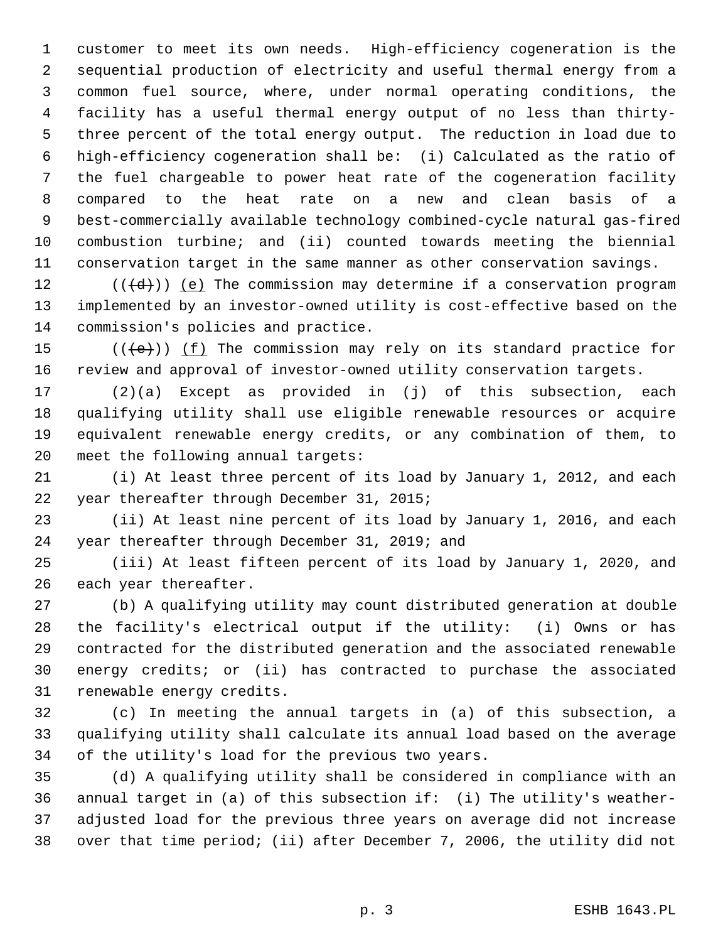1 customer to meet its own needs. High-efficiency cogeneration is the 2 sequential production of electricity and useful thermal energy from a 3 common fuel source, where, under normal operating conditions, the 4 facility has a useful thermal energy output of no less than thirty- 5 three percent of the total energy output. The reduction in load due to 6 high-efficiency cogeneration shall be: (i) Calculated as the ratio of 7 the fuel chargeable to power heat rate of the cogeneration facility 8 compared to the heat rate on a new and clean basis of a 9 best-commercially available technology combined-cycle natural gas-fired 10 combustion turbine; and (ii) counted towards meeting the biennial 11 conservation target in the same manner as other conservation savings.

12  $((\{d\}))(e)$  The commission may determine if a conservation program 13 implemented by an investor-owned utility is cost-effective based on the 14 commission's policies and practice.

15  $((\{e\})$  (f) The commission may rely on its standard practice for 16 review and approval of investor-owned utility conservation targets.

17 (2)(a) Except as provided in (j) of this subsection, each 18 qualifying utility shall use eligible renewable resources or acquire 19 equivalent renewable energy credits, or any combination of them, to 20 meet the following annual targets:

21 (i) At least three percent of its load by January 1, 2012, and each 22 year thereafter through December 31, 2015;

23 (ii) At least nine percent of its load by January 1, 2016, and each 24 year thereafter through December 31, 2019; and

25 (iii) At least fifteen percent of its load by January 1, 2020, and 26 each year thereafter.

27 (b) A qualifying utility may count distributed generation at double 28 the facility's electrical output if the utility: (i) Owns or has 29 contracted for the distributed generation and the associated renewable 30 energy credits; or (ii) has contracted to purchase the associated 31 renewable energy credits.

32 (c) In meeting the annual targets in (a) of this subsection, a 33 qualifying utility shall calculate its annual load based on the average 34 of the utility's load for the previous two years.

35 (d) A qualifying utility shall be considered in compliance with an 36 annual target in (a) of this subsection if: (i) The utility's weather-37 adjusted load for the previous three years on average did not increase 38 over that time period; (ii) after December 7, 2006, the utility did not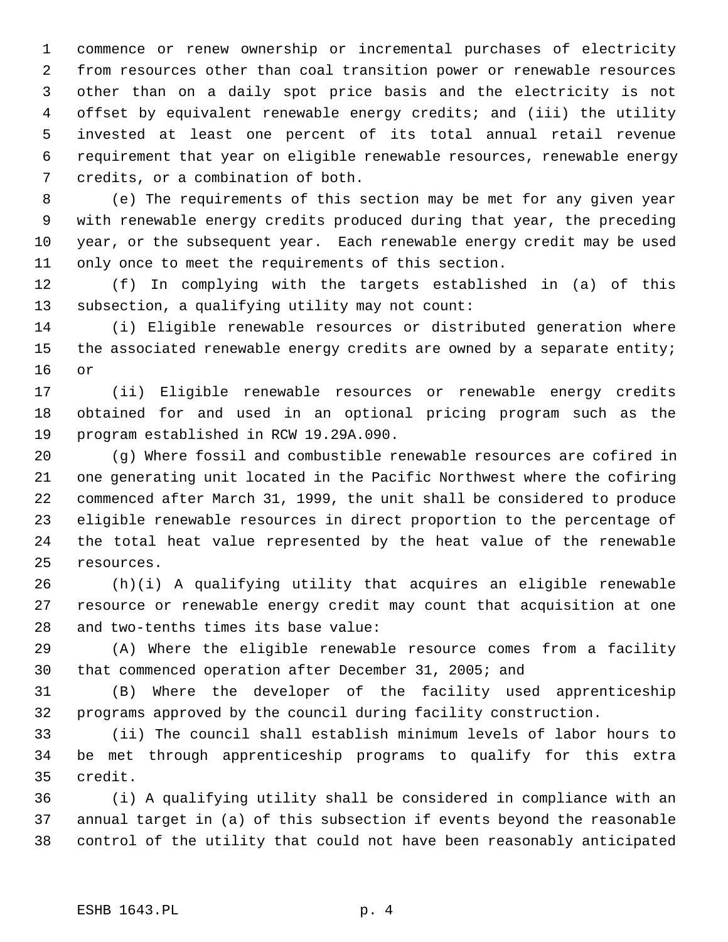1 commence or renew ownership or incremental purchases of electricity 2 from resources other than coal transition power or renewable resources 3 other than on a daily spot price basis and the electricity is not 4 offset by equivalent renewable energy credits; and (iii) the utility 5 invested at least one percent of its total annual retail revenue 6 requirement that year on eligible renewable resources, renewable energy 7 credits, or a combination of both.

 8 (e) The requirements of this section may be met for any given year 9 with renewable energy credits produced during that year, the preceding 10 year, or the subsequent year. Each renewable energy credit may be used 11 only once to meet the requirements of this section.

12 (f) In complying with the targets established in (a) of this 13 subsection, a qualifying utility may not count:

14 (i) Eligible renewable resources or distributed generation where 15 the associated renewable energy credits are owned by a separate entity; 16 or

17 (ii) Eligible renewable resources or renewable energy credits 18 obtained for and used in an optional pricing program such as the 19 program established in RCW 19.29A.090.

20 (g) Where fossil and combustible renewable resources are cofired in 21 one generating unit located in the Pacific Northwest where the cofiring 22 commenced after March 31, 1999, the unit shall be considered to produce 23 eligible renewable resources in direct proportion to the percentage of 24 the total heat value represented by the heat value of the renewable 25 resources.

26 (h)(i) A qualifying utility that acquires an eligible renewable 27 resource or renewable energy credit may count that acquisition at one 28 and two-tenths times its base value:

29 (A) Where the eligible renewable resource comes from a facility 30 that commenced operation after December 31, 2005; and

31 (B) Where the developer of the facility used apprenticeship 32 programs approved by the council during facility construction.

33 (ii) The council shall establish minimum levels of labor hours to 34 be met through apprenticeship programs to qualify for this extra 35 credit.

36 (i) A qualifying utility shall be considered in compliance with an 37 annual target in (a) of this subsection if events beyond the reasonable 38 control of the utility that could not have been reasonably anticipated